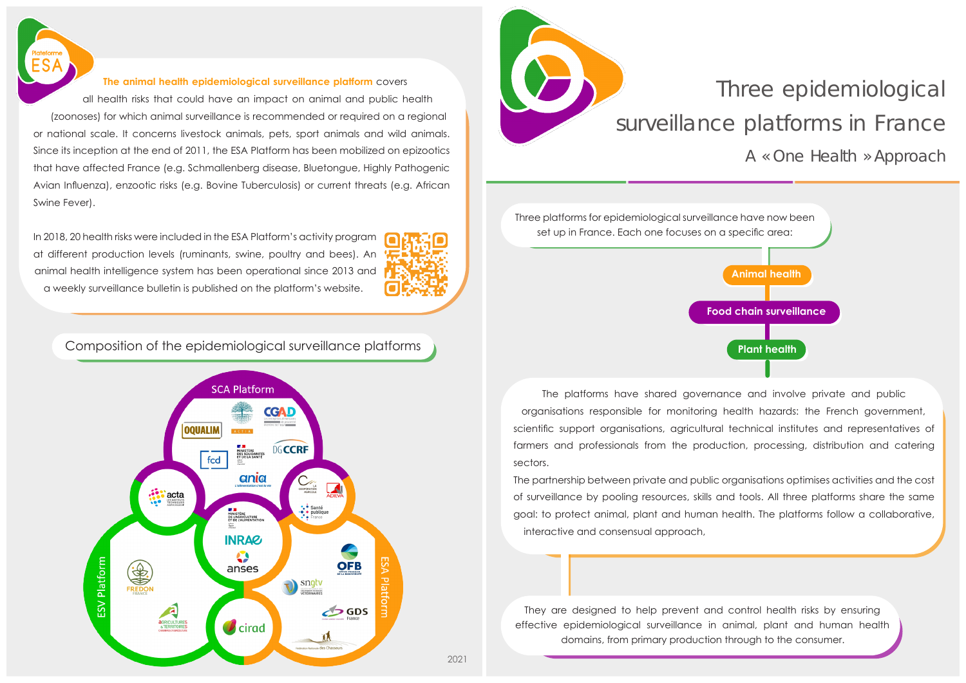

## **The animal health epidemiological surveillance platform** covers

all health risks that could have an impact on animal and public health (zoonoses) for which animal surveillance is recommended or required on a regional or national scale. It concerns livestock animals, pets, sport animals and wild animals. Since its inception at the end of 2011, the ESA Platform has been mobilized on epizootics that have affected France (e.g. Schmallenberg disease, Bluetongue, Highly Pathogenic Avian Influenza), enzootic risks (e.g. Bovine Tuberculosis) or current threats (e.g. African Swine Fever).

In 2018, 20 health risks were included in the ESA Platform's activity program at different production levels (ruminants, swine, poultry and bees). An animal health intelligence system has been operational since 2013 and a weekly surveillance bulletin is published on the platform's website.



## Composition of the epidemiological surveillance platforms **Plant Access 2006 Plant health**





## Three epidemiological surveillance platforms in France

*A « One Health » Approach*



The platforms have shared governance and involve private and public organisations responsible for monitoring health hazards: the French government, scientific support organisations, agricultural technical institutes and representatives of farmers and professionals from the production, processing, distribution and catering sectors.

The partnership between private and public organisations optimises activities and the cost of surveillance by pooling resources, skills and tools. All three platforms share the same goal: to protect animal, plant and human health. The platforms follow a collaborative, interactive and consensual approach,

They are designed to help prevent and control health risks by ensuring effective epidemiological surveillance in animal, plant and human health domains, from primary production through to the consumer.